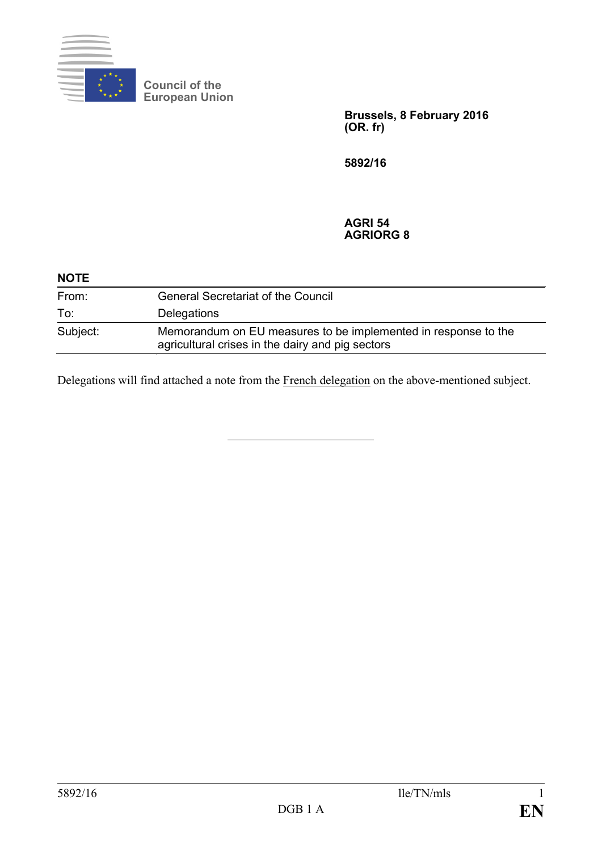

**Council of the European Union**

> **Brussels, 8 February 2016 (OR. fr)**

**5892/16**

#### **AGRI 54 AGRIORG 8**

| <b>NOTE</b> |                                                                                                                    |
|-------------|--------------------------------------------------------------------------------------------------------------------|
| From:       | <b>General Secretariat of the Council</b>                                                                          |
| To:         | Delegations                                                                                                        |
| Subject:    | Memorandum on EU measures to be implemented in response to the<br>agricultural crises in the dairy and pig sectors |

Delegations will find attached a note from the French delegation on the above-mentioned subject.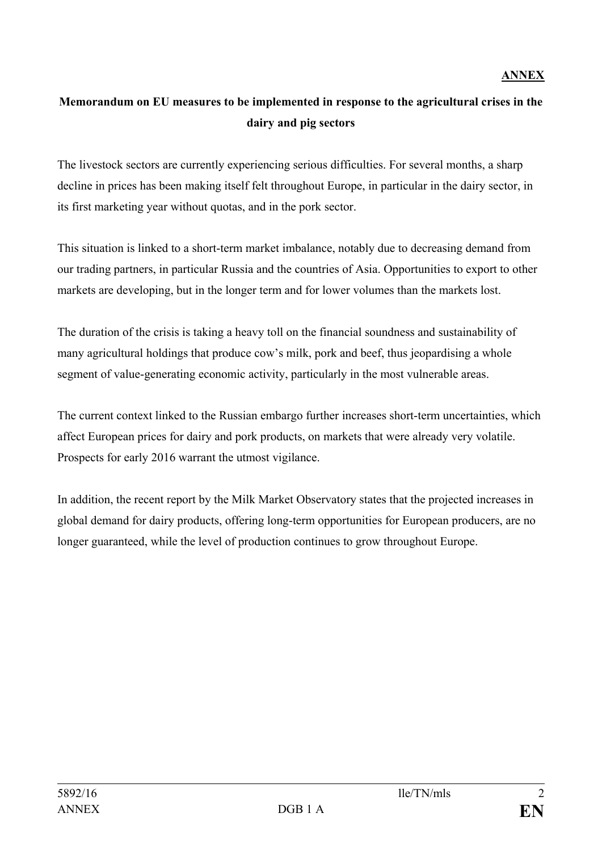# **Memorandum on EU measures to be implemented in response to the agricultural crises in the dairy and pig sectors**

The livestock sectors are currently experiencing serious difficulties. For several months, a sharp decline in prices has been making itself felt throughout Europe, in particular in the dairy sector, in its first marketing year without quotas, and in the pork sector.

This situation is linked to a short-term market imbalance, notably due to decreasing demand from our trading partners, in particular Russia and the countries of Asia. Opportunities to export to other markets are developing, but in the longer term and for lower volumes than the markets lost.

The duration of the crisis is taking a heavy toll on the financial soundness and sustainability of many agricultural holdings that produce cow's milk, pork and beef, thus jeopardising a whole segment of value-generating economic activity, particularly in the most vulnerable areas.

The current context linked to the Russian embargo further increases short-term uncertainties, which affect European prices for dairy and pork products, on markets that were already very volatile. Prospects for early 2016 warrant the utmost vigilance.

In addition, the recent report by the Milk Market Observatory states that the projected increases in global demand for dairy products, offering long-term opportunities for European producers, are no longer guaranteed, while the level of production continues to grow throughout Europe.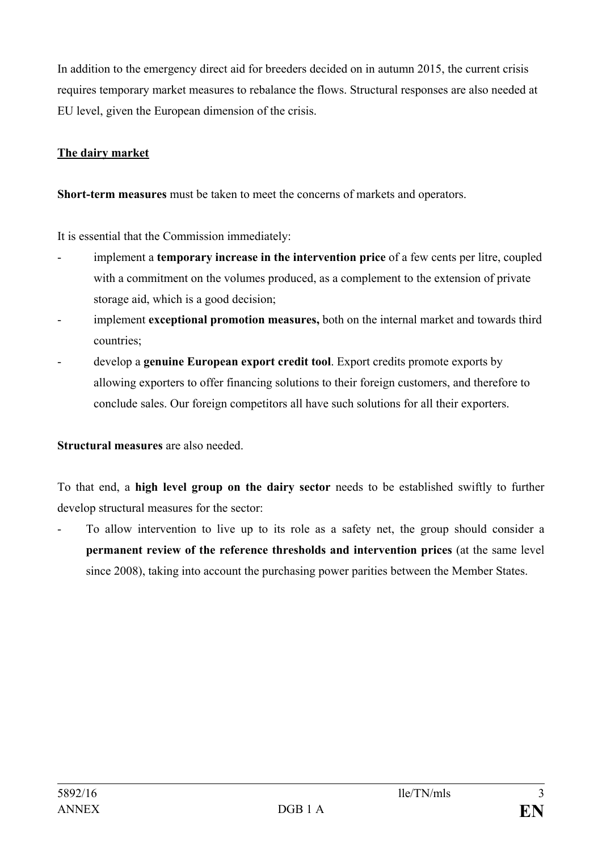In addition to the emergency direct aid for breeders decided on in autumn 2015, the current crisis requires temporary market measures to rebalance the flows. Structural responses are also needed at EU level, given the European dimension of the crisis.

### **The dairy market**

**Short-term measures** must be taken to meet the concerns of markets and operators.

It is essential that the Commission immediately:

- implement a **temporary increase in the intervention price** of a few cents per litre, coupled with a commitment on the volumes produced, as a complement to the extension of private storage aid, which is a good decision;
- implement **exceptional promotion measures,** both on the internal market and towards third countries;
- develop a **genuine European export credit tool**. Export credits promote exports by allowing exporters to offer financing solutions to their foreign customers, and therefore to conclude sales. Our foreign competitors all have such solutions for all their exporters.

## **Structural measures** are also needed.

To that end, a **high level group on the dairy sector** needs to be established swiftly to further develop structural measures for the sector:

- To allow intervention to live up to its role as a safety net, the group should consider a **permanent review of the reference thresholds and intervention prices** (at the same level since 2008), taking into account the purchasing power parities between the Member States.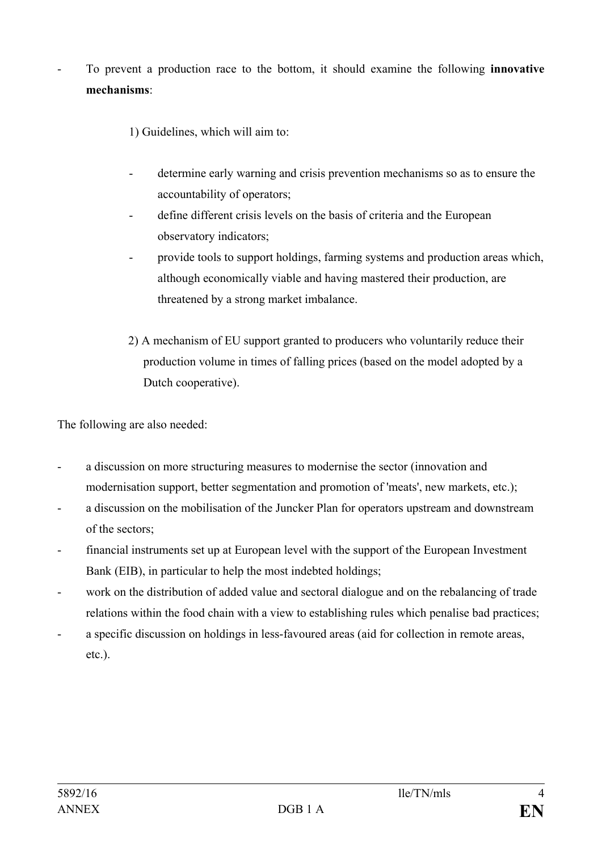- To prevent a production race to the bottom, it should examine the following **innovative mechanisms**:

1) Guidelines, which will aim to:

- determine early warning and crisis prevention mechanisms so as to ensure the accountability of operators;
- define different crisis levels on the basis of criteria and the European observatory indicators;
- provide tools to support holdings, farming systems and production areas which, although economically viable and having mastered their production, are threatened by a strong market imbalance.
- 2) A mechanism of EU support granted to producers who voluntarily reduce their production volume in times of falling prices (based on the model adopted by a Dutch cooperative).

The following are also needed:

- a discussion on more structuring measures to modernise the sector (innovation and modernisation support, better segmentation and promotion of 'meats', new markets, etc.);
- a discussion on the mobilisation of the Juncker Plan for operators upstream and downstream of the sectors;
- financial instruments set up at European level with the support of the European Investment Bank (EIB), in particular to help the most indebted holdings;
- work on the distribution of added value and sectoral dialogue and on the rebalancing of trade relations within the food chain with a view to establishing rules which penalise bad practices;
- a specific discussion on holdings in less-favoured areas (aid for collection in remote areas, etc.).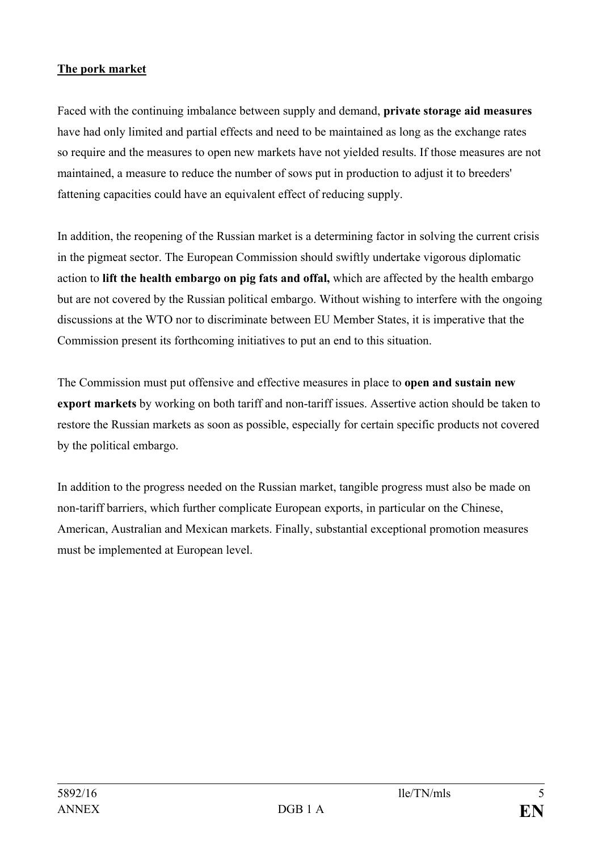#### **The pork market**

Faced with the continuing imbalance between supply and demand, **private storage aid measures** have had only limited and partial effects and need to be maintained as long as the exchange rates so require and the measures to open new markets have not yielded results. If those measures are not maintained, a measure to reduce the number of sows put in production to adjust it to breeders' fattening capacities could have an equivalent effect of reducing supply.

In addition, the reopening of the Russian market is a determining factor in solving the current crisis in the pigmeat sector. The European Commission should swiftly undertake vigorous diplomatic action to **lift the health embargo on pig fats and offal,** which are affected by the health embargo but are not covered by the Russian political embargo. Without wishing to interfere with the ongoing discussions at the WTO nor to discriminate between EU Member States, it is imperative that the Commission present its forthcoming initiatives to put an end to this situation.

The Commission must put offensive and effective measures in place to **open and sustain new export markets** by working on both tariff and non-tariff issues. Assertive action should be taken to restore the Russian markets as soon as possible, especially for certain specific products not covered by the political embargo.

In addition to the progress needed on the Russian market, tangible progress must also be made on non-tariff barriers, which further complicate European exports, in particular on the Chinese, American, Australian and Mexican markets. Finally, substantial exceptional promotion measures must be implemented at European level.